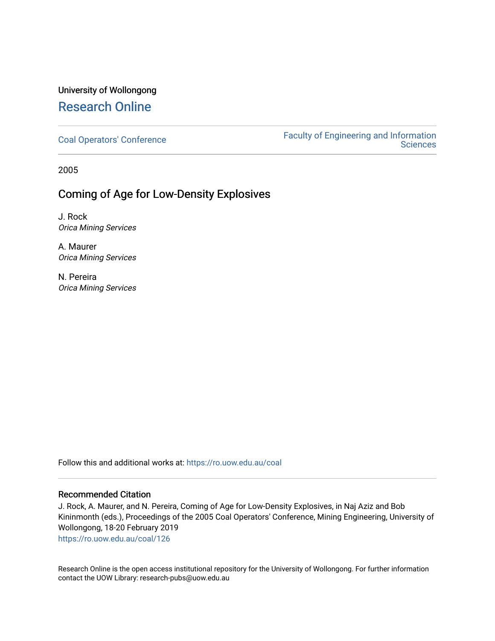# University of Wollongong [Research Online](https://ro.uow.edu.au/)

[Coal Operators' Conference](https://ro.uow.edu.au/coal) [Faculty of Engineering and Information](https://ro.uow.edu.au/eis)  **Sciences** 

2005

## Coming of Age for Low-Density Explosives

J. Rock Orica Mining Services

A. Maurer Orica Mining Services

N. Pereira Orica Mining Services

Follow this and additional works at: [https://ro.uow.edu.au/coal](https://ro.uow.edu.au/coal?utm_source=ro.uow.edu.au%2Fcoal%2F126&utm_medium=PDF&utm_campaign=PDFCoverPages) 

## Recommended Citation

J. Rock, A. Maurer, and N. Pereira, Coming of Age for Low-Density Explosives, in Naj Aziz and Bob Kininmonth (eds.), Proceedings of the 2005 Coal Operators' Conference, Mining Engineering, University of Wollongong, 18-20 February 2019

[https://ro.uow.edu.au/coal/126](https://ro.uow.edu.au/coal/126?utm_source=ro.uow.edu.au%2Fcoal%2F126&utm_medium=PDF&utm_campaign=PDFCoverPages) 

Research Online is the open access institutional repository for the University of Wollongong. For further information contact the UOW Library: research-pubs@uow.edu.au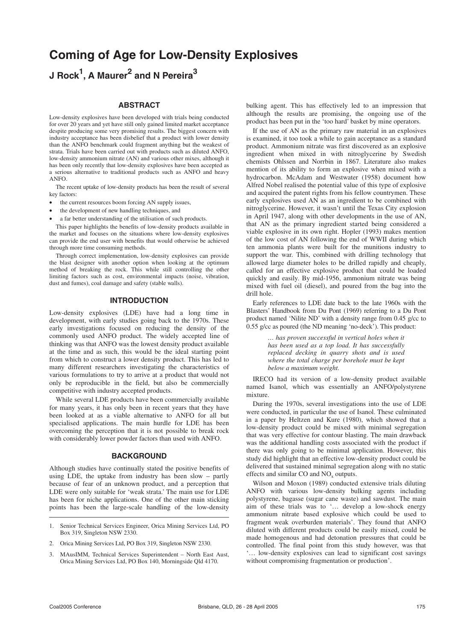# **Coming of Age for Low-Density Explosives**

**J Rock1 , A Maurer<sup>2</sup> and N Pereira<sup>3</sup>**

### **ABSTRACT**

Low-density explosives have been developed with trials being conducted for over 20 years and yet have still only gained limited market acceptance despite producing some very promising results. The biggest concern with industry acceptance has been disbelief that a product with lower density than the ANFO benchmark could fragment anything but the weakest of strata. Trials have been carried out with products such as diluted ANFO, low-density ammonium nitrate (AN) and various other mixes, although it has been only recently that low-density explosives have been accepted as a serious alternative to traditional products such as ANFO and heavy ANFO.

The recent uptake of low-density products has been the result of several key factors:

- the current resources boom forcing AN supply issues,
- the development of new handling techniques, and
- a far better understanding of the utilisation of such products.

This paper highlights the benefits of low-density products available in the market and focuses on the situations where low-density explosives can provide the end user with benefits that would otherwise be achieved through more time consuming methods.

Through correct implementation, low-density explosives can provide the blast designer with another option when looking at the optimum method of breaking the rock. This while still controlling the other limiting factors such as cost, environmental impacts (noise, vibration, dust and fumes), coal damage and safety (stable walls).

#### **INTRODUCTION**

Low-density explosives (LDE) have had a long time in development, with early studies going back to the 1970s. These early investigations focused on reducing the density of the commonly used ANFO product. The widely accepted line of thinking was that ANFO was the lowest density product available at the time and as such, this would be the ideal starting point from which to construct a lower density product. This has led to many different researchers investigating the characteristics of various formulations to try to arrive at a product that would not only be reproducible in the field, but also be commercially competitive with industry accepted products.

While several LDE products have been commercially available for many years, it has only been in recent years that they have been looked at as a viable alternative to ANFO for all but specialised applications. The main hurdle for LDE has been overcoming the perception that it is not possible to break rock with considerably lower powder factors than used with ANFO.

#### **BACKGROUND**

Although studies have continually stated the positive benefits of using LDE, the uptake from industry has been slow – partly because of fear of an unknown product, and a perception that LDE were only suitable for 'weak strata.' The main use for LDE has been for niche applications. One of the other main sticking points has been the large-scale handling of the low-density

bulking agent. This has effectively led to an impression that although the results are promising, the ongoing use of the product has been put in the 'too hard' basket by mine operators.

If the use of AN as the primary raw material in an explosives is examined, it too took a while to gain acceptance as a standard product. Ammonium nitrate was first discovered as an explosive ingredient when mixed in with nitroglycerine by Swedish chemists Ohlssen and Norrbin in 1867. Literature also makes mention of its ability to form an explosive when mixed with a hydrocarbon. McAdam and Westwater (1958) document how Alfred Nobel realised the potential value of this type of explosive and acquired the patent rights from his fellow countrymen. These early explosives used AN as an ingredient to be combined with nitroglycerine. However, it wasn't until the Texas City explosion in April 1947, along with other developments in the use of AN, that AN as the primary ingredient started being considered a viable explosive in its own right. Hopler (1993) makes mention of the low cost of AN following the end of WWII during which ten ammonia plants were built for the munitions industry to support the war. This, combined with drilling technology that allowed large diameter holes to be drilled rapidly and cheaply, called for an effective explosive product that could be loaded quickly and easily. By mid-1956, ammonium nitrate was being mixed with fuel oil (diesel), and poured from the bag into the drill hole.

Early references to LDE date back to the late 1960s with the Blasters' Handbook from Du Pont (1969) referring to a Du Pont product named 'Nilite ND' with a density range from 0.45 g/cc to 0.55 g/cc as poured (the ND meaning 'no-deck'). This product:

> *… has proven successful in vertical holes when it has been used as a top load. It has successfully replaced decking in quarry shots and is used where the total charge per borehole must be kept below a maximum weight.*

IRECO had its version of a low-density product available named Isanol, which was essentially an ANFO/polystyrene mixture.

During the 1970s, several investigations into the use of LDE were conducted, in particular the use of Isanol. These culminated in a paper by Heltzen and Kure (1980), which showed that a low-density product could be mixed with minimal segregation that was very effective for contour blasting. The main drawback was the additional handling costs associated with the product if there was only going to be minimal application. However, this study did highlight that an effective low-density product could be delivered that sustained minimal segregation along with no static effects and similar  $CO$  and  $NO<sub>x</sub>$  outputs.

Wilson and Moxon (1989) conducted extensive trials diluting ANFO with various low-density bulking agents including polystyrene, bagasse (sugar cane waste) and sawdust. The main aim of these trials was to '… develop a low-shock energy ammonium nitrate based explosive which could be used to fragment weak overburden materials'. They found that ANFO diluted with different products could be easily mixed, could be made homogenous and had detonation pressures that could be controlled. The final point from this study however, was that '… low-density explosives can lead to significant cost savings without compromising fragmentation or production'.

<sup>1.</sup> Senior Technical Services Engineer, Orica Mining Services Ltd, PO Box 319, Singleton NSW 2330.

<sup>2.</sup> Orica Mining Services Ltd, PO Box 319, Singleton NSW 2330.

<sup>3.</sup> MAusIMM, Technical Services Superintendent – North East Aust, Orica Mining Services Ltd, PO Box 140, Morningside Qld 4170.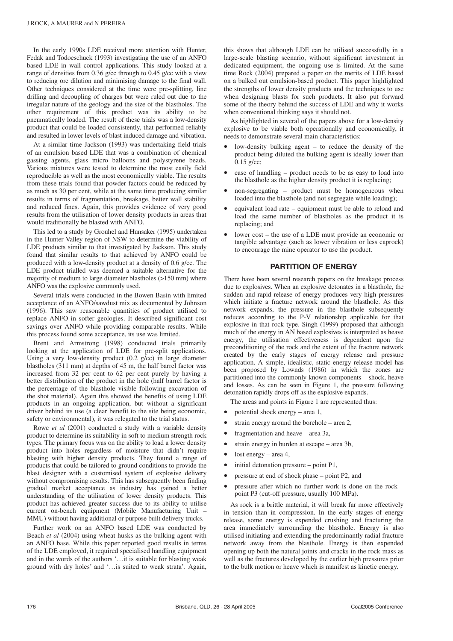In the early 1990s LDE received more attention with Hunter, Fedak and Todoeschuck (1993) investigating the use of an ANFO based LDE in wall control applications. This study looked at a range of densities from 0.36 g/cc through to 0.45 g/cc with a view to reducing ore dilution and minimising damage to the final wall. Other techniques considered at the time were pre-splitting, line drilling and decoupling of charges but were ruled out due to the irregular nature of the geology and the size of the blastholes. The other requirement of this product was its ability to be pneumatically loaded. The result of these trials was a low-density product that could be loaded consistently, that performed reliably and resulted in lower levels of blast induced damage and vibration.

At a similar time Jackson (1993) was undertaking field trials of an emulsion based LDE that was a combination of chemical gassing agents, glass micro balloons and polystyrene beads. Various mixtures were tested to determine the most easily field reproducible as well as the most economically viable. The results from these trials found that powder factors could be reduced by as much as 30 per cent, while at the same time producing similar results in terms of fragmentation, breakage, better wall stability and reduced fines. Again, this provides evidence of very good results from the utilisation of lower density products in areas that would traditionally be blasted with ANFO.

This led to a study by Grouhel and Hunsaker (1995) undertaken in the Hunter Valley region of NSW to determine the viability of LDE products similar to that investigated by Jackson. This study found that similar results to that achieved by ANFO could be produced with a low-density product at a density of 0.6 g/cc. The LDE product trialled was deemed a suitable alternative for the majority of medium to large diameter blastholes (>150 mm) where ANFO was the explosive commonly used.

Several trials were conducted in the Bowen Basin with limited acceptance of an ANFO/sawdust mix as documented by Johnson (1996). This saw reasonable quantities of product utilised to replace ANFO in softer geologies. It described significant cost savings over ANFO while providing comparable results. While this process found some acceptance, its use was limited.

Brent and Armstrong (1998) conducted trials primarily looking at the application of LDE for pre-split applications. Using a very low-density product (0.2 g/cc) in large diameter blastholes (311 mm) at depths of 45 m, the half barrel factor was increased from 32 per cent to 62 per cent purely by having a better distribution of the product in the hole (half barrel factor is the percentage of the blasthole visible following excavation of the shot material). Again this showed the benefits of using LDE products in an ongoing application, but without a significant driver behind its use (a clear benefit to the site being economic, safety or environmental), it was relegated to the trial status.

Rowe *et al* (2001) conducted a study with a variable density product to determine its suitability in soft to medium strength rock types. The primary focus was on the ability to load a lower density product into holes regardless of moisture that didn't require blasting with higher density products. They found a range of products that could be tailored to ground conditions to provide the blast designer with a customised system of explosive delivery without compromising results. This has subsequently been finding gradual market acceptance as industry has gained a better understanding of the utilisation of lower density products. This product has achieved greater success due to its ability to utilise current on-bench equipment (Mobile Manufacturing Unit – MMU) without having additional or purpose built delivery trucks.

Further work on an ANFO based LDE was conducted by Beach *et al* (2004) using wheat husks as the bulking agent with an ANFO base. While this paper reported good results in terms of the LDE employed, it required specialised handling equipment and in the words of the authors '…it is suitable for blasting weak ground with dry holes' and '…is suited to weak strata'. Again, this shows that although LDE can be utilised successfully in a large-scale blasting scenario, without significant investment in dedicated equipment, the ongoing use is limited. At the same time Rock (2004) prepared a paper on the merits of LDE based on a bulked out emulsion-based product. This paper highlighted the strengths of lower density products and the techniques to use when designing blasts for such products. It also put forward some of the theory behind the success of LDE and why it works when conventional thinking says it should not.

As highlighted in several of the papers above for a low-density explosive to be viable both operationally and economically, it needs to demonstrate several main characteristics:

- low-density bulking agent  $-$  to reduce the density of the product being diluted the bulking agent is ideally lower than  $0.15$  g/cc;
- ease of handling product needs to be as easy to load into the blasthole as the higher density product it is replacing;
- $non-segregation$  product must be homogeneous when loaded into the blasthole (and not segregate while loading);
- equivalent load rate equipment must be able to reload and load the same number of blastholes as the product it is replacing; and
- lower cost the use of a LDE must provide an economic or tangible advantage (such as lower vibration or less caprock) to encourage the mine operator to use the product.

### **PARTITION OF ENERGY**

There have been several research papers on the breakage process due to explosives. When an explosive detonates in a blasthole, the sudden and rapid release of energy produces very high pressures which initiate a fracture network around the blasthole. As this network expands, the pressure in the blasthole subsequently reduces according to the P-V relationship applicable for that explosive in that rock type. Singh (1999) proposed that although much of the energy in AN based explosives is interpreted as heave energy, the utilisation effectiveness is dependent upon the preconditioning of the rock and the extent of the fracture network created by the early stages of energy release and pressure application. A simple, idealistic, static energy release model has been proposed by Lownds (1986) in which the zones are partitioned into the commonly known components – shock, heave and losses. As can be seen in Figure 1, the pressure following detonation rapidly drops off as the explosive expands.

The areas and points in Figure 1 are represented thus:

- potential shock energy area 1,
- strain energy around the borehole area 2,
- fragmentation and heave area 3a,
- strain energy in burden at escape area 3b,
- lost energy area  $4$ ,
- initial detonation pressure point P1,
- pressure at end of shock phase point P2, and
- pressure after which no further work is done on the rock point P3 (cut-off pressure, usually 100 MPa).

As rock is a brittle material, it will break far more effectively in tension than in compression. In the early stages of energy release, some energy is expended crushing and fracturing the area immediately surrounding the blasthole. Energy is also utilised initiating and extending the predominantly radial fracture network away from the blasthole. Energy is then expended opening up both the natural joints and cracks in the rock mass as well as the fractures developed by the earlier high pressures prior to the bulk motion or heave which is manifest as kinetic energy.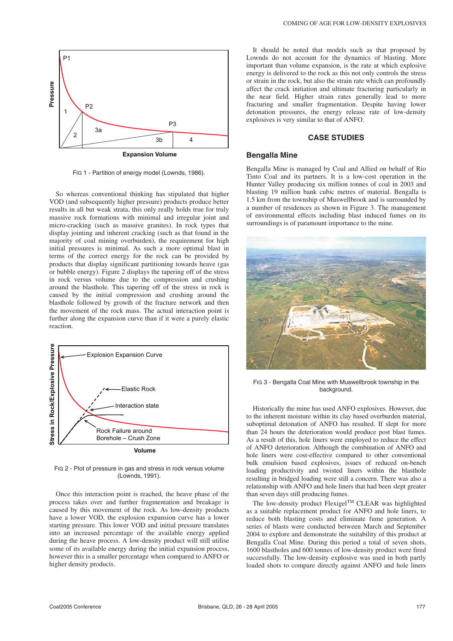

FIG 1 - Partition of energy model (Lownds, 1986).

So whereas conventional thinking has stipulated that higher VOD (and subsequently higher pressure) products produce better results in all but weak strata, this only really holds true for truly massive rock formations with minimal and irregular joint and micro-cracking (such as massive granites). In rock types that display jointing and inherent cracking (such as that found in the majority of coal mining overburden), the requirement for high initial pressures is minimal. As such a more optimal blast in terms of the correct energy for the rock can be provided by products that display significant partitioning towards heave (gas or bubble energy). Figure 2 displays the tapering off of the stress in rock versus volume due to the compression and crushing around the blasthole. This tapering off of the stress in rock is caused by the initial compression and crushing around the blasthole followed by growth of the fracture network and then the movement of the rock mass. The actual interaction point is further along the expansion curve than if it were a purely elastic reaction.



FIG 2 - Plot of pressure in gas and stress in rock versus volume (Lownds, 1991).

Once this interaction point is reached, the heave phase of the process takes over and further fragmentation and breakage is caused by this movement of the rock. As low-density products have a lower VOD, the explosion expansion curve has a lower starting pressure. This lower VOD and initial pressure translates into an increased percentage of the available energy applied during the heave process. A low-density product will still utilise some of its available energy during the initial expansion process, however this is a smaller percentage when compared to ANFO or higher density products.

It should be noted that models such as that proposed by Lownds do not account for the dynamics of blasting. More important than volume expansion, is the rate at which explosive energy is delivered to the rock as this not only controls the stress or strain in the rock, but also the strain rate which can profoundly affect the crack initiation and ultimate fracturing particularly in the near field. Higher strain rates generally lead to more fracturing and smaller fragmentation. Despite having lower detonation pressures, the energy release rate of low-density explosives is very similar to that of ANFO.

#### **CASE STUDIES**

#### **Bengalla Mine**

Bengalla Mine is managed by Coal and Allied on behalf of Rio Tinto Coal and its partners. It is a low-cost operation in the Hunter Valley producing six million tonnes of coal in 2003 and blasting 19 million bank cubic metres of material. Bengalla is 1.5 km from the township of Muswellbrook and is surrounded by a number of residences as shown in Figure 3. The management of environmental effects including blast induced fumes on its surroundings is of paramount importance to the mine.



FIG 3 - Bengalla Coal Mine with Muswellbrook township in the background.

Historically the mine has used ANFO explosives. However, due to the inherent moisture within its clay based overburden material, suboptimal detonation of ANFO has resulted. If slept for more than 24 hours the deterioration would produce post blast fumes. As a result of this, hole liners were employed to reduce the effect of ANFO deterioration. Although the combination of ANFO and hole liners were cost-effective compared to other conventional bulk emulsion based explosives, issues of reduced on-bench loading productivity and twisted liners within the blasthole resulting in bridged loading were still a concern. There was also a relationship with ANFO and hole liners that had been slept greater than seven days still producing fumes.

The low-density product  $Flexigel^{TM}$  CLEAR was highlighted as a suitable replacement product for ANFO and hole liners, to reduce both blasting costs and eliminate fume generation. A series of blasts were conducted between March and September 2004 to explore and demonstrate the suitability of this product at Bengalla Coal Mine. During this period a total of seven shots, 1600 blastholes and 600 tonnes of low-density product were fired successfully. The low-density explosive was used in both partly loaded shots to compare directly against ANFO and hole liners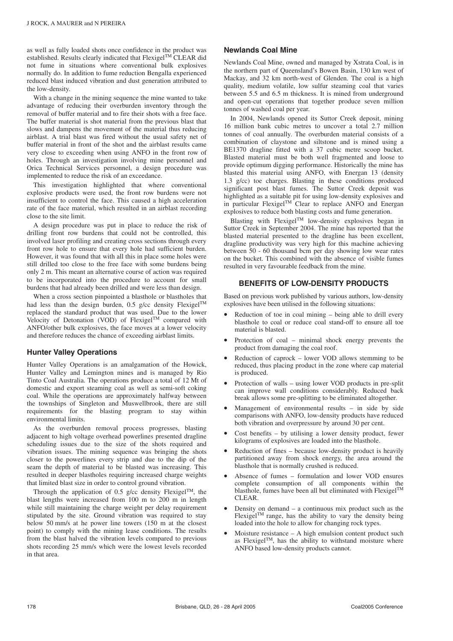as well as fully loaded shots once confidence in the product was established. Results clearly indicated that  $Flexigel^{TM}CLEAR$  did not fume in situations where conventional bulk explosives normally do. In addition to fume reduction Bengalla experienced reduced blast induced vibration and dust generation attributed to the low-density.

With a change in the mining sequence the mine wanted to take advantage of reducing their overburden inventory through the removal of buffer material and to fire their shots with a free face. The buffer material is shot material from the previous blast that slows and dampens the movement of the material thus reducing airblast. A trial blast was fired without the usual safety net of buffer material in front of the shot and the airblast results came very close to exceeding when using ANFO in the front row of holes. Through an investigation involving mine personnel and Orica Technical Services personnel, a design procedure was implemented to reduce the risk of an exceedance.

This investigation highlighted that where conventional explosive products were used, the front row burdens were not insufficient to control the face. This caused a high acceleration rate of the face material, which resulted in an airblast recording close to the site limit.

A design procedure was put in place to reduce the risk of drilling front row burdens that could not be controlled, this involved laser profiling and creating cross sections through every front row hole to ensure that every hole had sufficient burden. However, it was found that with all this in place some holes were still drilled too close to the free face with some burdens being only 2 m. This meant an alternative course of action was required to be incorporated into the procedure to account for small burdens that had already been drilled and were less than design.

When a cross section pinpointed a blasthole or blastholes that had less than the design burden, 0.5 g/cc density  $F$ lexigel<sup>TM</sup> replaced the standard product that was used. Due to the lower Velocity of Detonation (VOD) of Flexigel<sup>TM</sup> compared with ANFO/other bulk explosives, the face moves at a lower velocity and therefore reduces the chance of exceeding airblast limits.

#### **Hunter Valley Operations**

Hunter Valley Operations is an amalgamation of the Howick, Hunter Valley and Lemington mines and is managed by Rio Tinto Coal Australia. The operations produce a total of 12 Mt of domestic and export steaming coal as well as semi-soft coking coal. While the operations are approximately halfway between the townships of Singleton and Muswellbrook, there are still requirements for the blasting program to stay within environmental limits.

As the overburden removal process progresses, blasting adjacent to high voltage overhead powerlines presented dragline scheduling issues due to the size of the shots required and vibration issues. The mining sequence was bringing the shots closer to the powerlines every strip and due to the dip of the seam the depth of material to be blasted was increasing. This resulted in deeper blastholes requiring increased charge weights that limited blast size in order to control ground vibration.

Through the application of 0.5 g/cc density Flexigel<sup>TM</sup>, the blast lengths were increased from 100 m to 200 m in length while still maintaining the charge weight per delay requirement stipulated by the site. Ground vibration was required to stay below 50 mm/s at he power line towers (150 m at the closest point) to comply with the mining lease conditions. The results from the blast halved the vibration levels compared to previous shots recording 25 mm/s which were the lowest levels recorded in that area.

#### **Newlands Coal Mine**

Newlands Coal Mine, owned and managed by Xstrata Coal, is in the northern part of Queensland's Bowen Basin, 130 km west of Mackay, and 32 km north-west of Glenden. The coal is a high quality, medium volatile, low sulfur steaming coal that varies between 5.5 and 6.5 m thickness. It is mined from underground and open-cut operations that together produce seven million tonnes of washed coal per year.

In 2004, Newlands opened its Suttor Creek deposit, mining 16 million bank cubic metres to uncover a total 2.7 million tonnes of coal annually. The overburden material consists of a combination of claystone and siltstone and is mined using a BE1370 dragline fitted with a 37 cubic metre scoop bucket. Blasted material must be both well fragmented and loose to provide optimum digging performance. Historically the mine has blasted this material using ANFO, with Energan 13 (density 1.3 g/cc) toe charges. Blasting in these conditions produced significant post blast fumes. The Suttor Creek deposit was highlighted as a suitable pit for using low-density explosives and in particular Flexigel<sup>TM</sup> Clear to replace ANFO and Energan explosives to reduce both blasting costs and fume generation.

Blasting with Flexigel<sup>TM</sup> low-density explosives began in Suttor Creek in September 2004. The mine has reported that the blasted material presented to the dragline has been excellent, dragline productivity was very high for this machine achieving between 50 - 60 thousand bcm per day showing low wear rates on the bucket. This combined with the absence of visible fumes resulted in very favourable feedback from the mine.

#### **BENEFITS OF LOW-DENSITY PRODUCTS**

Based on previous work published by various authors, low-density explosives have been utilised in the following situations:

- Reduction of toe in coal mining  $-$  being able to drill every blasthole to coal or reduce coal stand-off to ensure all toe material is blasted.
- Protection of coal minimal shock energy prevents the product from damaging the coal roof.
- Reduction of caprock lower VOD allows stemming to be reduced, thus placing product in the zone where cap material is produced.
- Protection of walls using lower VOD products in pre-split can improve wall conditions considerably. Reduced back break allows some pre-splitting to be eliminated altogether.
- Management of environmental results  $-$  in side by side comparisons with ANFO, low-density products have reduced both vibration and overpressure by around 30 per cent.
- Cost benefits  $-$  by utilising a lower density product, fewer kilograms of explosives are loaded into the blasthole.
- Reduction of fines because low-density product is heavily partitioned away from shock energy, the area around the blasthole that is normally crushed is reduced.
- Absence of fumes formulation and lower VOD ensures complete consumption of all components within the blasthole, fumes have been all but eliminated with Flexigel<sup>TM</sup> CLEAR.
- Density on demand  $-$  a continuous mix product such as the Flexigel<sup>TM</sup> range, has the ability to vary the density being loaded into the hole to allow for changing rock types.
- Moisture resistance  $-$  A high emulsion content product such as Flexigel<sup>TM</sup>, has the ability to withstand moisture where ANFO based low-density products cannot.